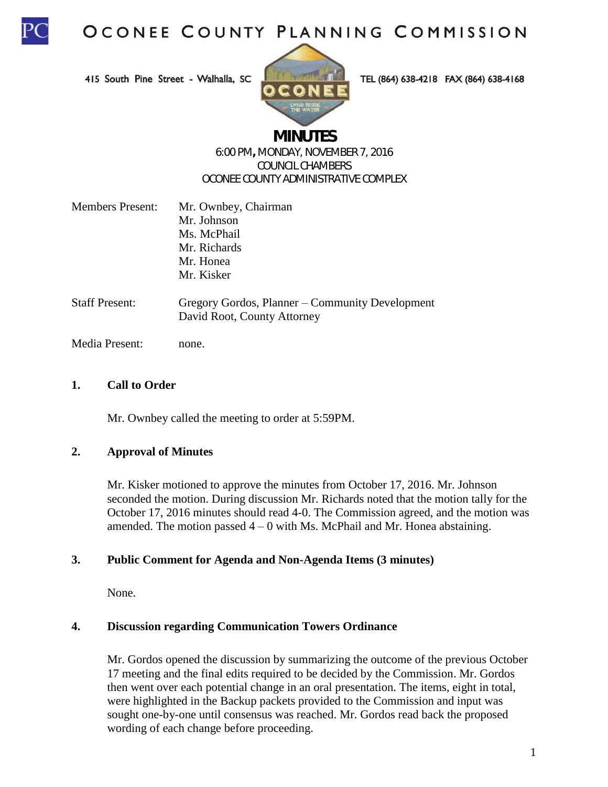

415 South Pine Street - Walhalla, SC



TEL (864) 638-4218 FAX (864) 638-4168

# **MINUTES**

#### 6:00 PM**,** MONDAY, NOVEMBER 7, 2016 COUNCIL CHAMBERS OCONEE COUNTY ADMINISTRATIVE COMPLEX

| <b>Members Present:</b> | Mr. Ownbey, Chairman                         |
|-------------------------|----------------------------------------------|
|                         | Mr. Johnson                                  |
|                         | Ms. McPhail                                  |
|                         | Mr. Richards                                 |
|                         | Mr. Honea                                    |
|                         | Mr. Kisker                                   |
| Staff Present:          | Gregory Gordos, Planner – Community Developm |

Gregory Gordos, Planner – Community Development David Root, County Attorney

Media Present: none.

### **1. Call to Order**

Mr. Ownbey called the meeting to order at 5:59PM.

#### **2. Approval of Minutes**

Mr. Kisker motioned to approve the minutes from October 17, 2016. Mr. Johnson seconded the motion. During discussion Mr. Richards noted that the motion tally for the October 17, 2016 minutes should read 4-0. The Commission agreed, and the motion was amended. The motion passed  $4 - 0$  with Ms. McPhail and Mr. Honea abstaining.

#### **3. Public Comment for Agenda and Non-Agenda Items (3 minutes)**

None.

#### **4. Discussion regarding Communication Towers Ordinance**

Mr. Gordos opened the discussion by summarizing the outcome of the previous October 17 meeting and the final edits required to be decided by the Commission. Mr. Gordos then went over each potential change in an oral presentation. The items, eight in total, were highlighted in the Backup packets provided to the Commission and input was sought one-by-one until consensus was reached. Mr. Gordos read back the proposed wording of each change before proceeding.